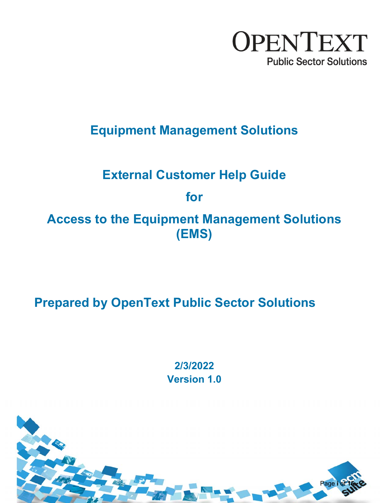

**Equipment Management Solutions** 

# **External Customer Help Guide**

# **for**

**Access to the Equipment Management Solutions (EMS)** 

**Prepared by OpenText Public Sector Solutions** 

**2/3/2022 Version 1.0** 

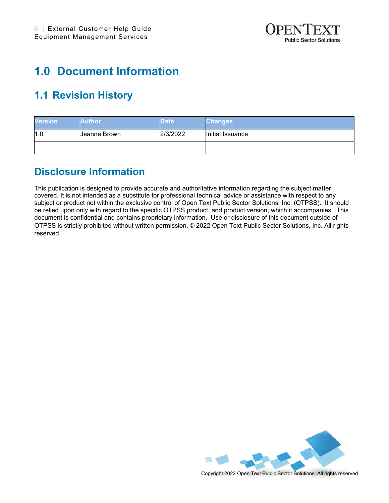

## **1.0 Document Information**

### **1.1 Revision History**

| <b>Version</b> | Author       | <b>Date</b> | <b>Changes</b>   |
|----------------|--------------|-------------|------------------|
| 1.0            | Ueanne Brown | 2/3/2022    | Initial Issuance |
|                |              |             |                  |

### **Disclosure Information**

This publication is designed to provide accurate and authoritative information regarding the subject matter covered. It is not intended as a substitute for professional technical advice or assistance with respect to any subject or product not within the exclusive control of Open Text Public Sector Solutions, Inc. (OTPSS). It should be relied upon only with regard to the specific OTPSS product, and product version, which it accompanies. This document is confidential and contains proprietary information. Use or disclosure of this document outside of OTPSS is strictly prohibited without written permission. © 2022 Open Text Public Sector Solutions, Inc. All rights reserved.

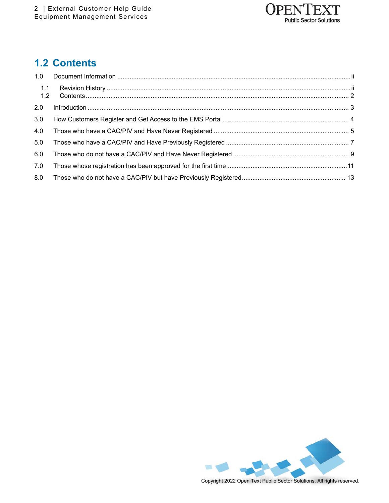

### **1.2 Contents**

| 1.1<br>1.2 |  |
|------------|--|
| 2.0        |  |
| 3.0        |  |
| 4.0        |  |
| 5.0        |  |
| 6.0        |  |
| 7.0        |  |
| 8.0        |  |

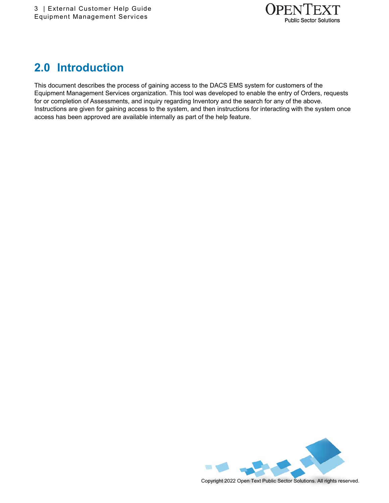

## **2.0 Introduction**

This document describes the process of gaining access to the DACS EMS system for customers of the Equipment Management Services organization. This tool was developed to enable the entry of Orders, requests for or completion of Assessments, and inquiry regarding Inventory and the search for any of the above. Instructions are given for gaining access to the system, and then instructions for interacting with the system once access has been approved are available internally as part of the help feature.

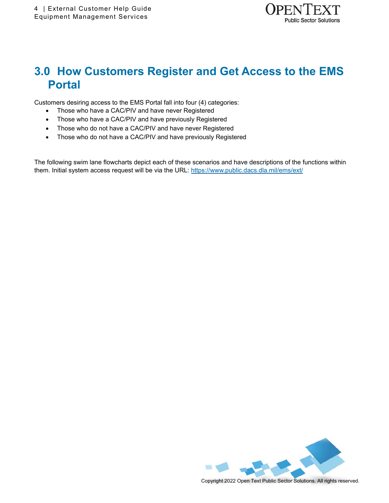

## **3.0 How Customers Register and Get Access to the EMS Portal**

Customers desiring access to the EMS Portal fall into four (4) categories:

- Those who have a CAC/PIV and have never Registered
- Those who have a CAC/PIV and have previously Registered
- Those who do not have a CAC/PIV and have never Registered
- Those who do not have a CAC/PIV and have previously Registered

The following swim lane flowcharts depict each of these scenarios and have descriptions of the functions within them. Initial system access request will be via the URL: https://www.public.dacs.dla.mil/ems/ext/

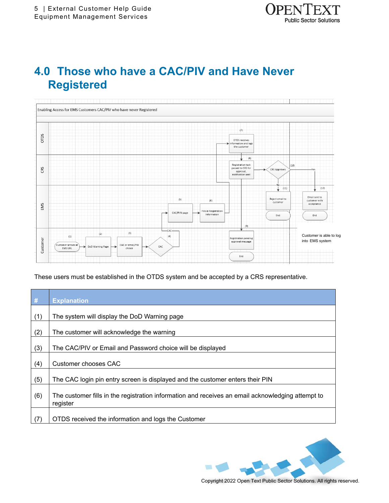

### **4.0 Those who have a CAC/PIV and Have Never Registered**



These users must be established in the OTDS system and be accepted by a CRS representative.

| #   | <b>Explanation</b>                                                                                            |
|-----|---------------------------------------------------------------------------------------------------------------|
|     |                                                                                                               |
| (1) | The system will display the DoD Warning page                                                                  |
| (2) | The customer will acknowledge the warning                                                                     |
| (3) | The CAC/PIV or Email and Password choice will be displayed                                                    |
| (4) | Customer chooses CAC                                                                                          |
| (5) | The CAC login pin entry screen is displayed and the customer enters their PIN                                 |
| (6) | The customer fills in the registration information and receives an email acknowledging attempt to<br>register |
| (7) | OTDS received the information and logs the Customer                                                           |

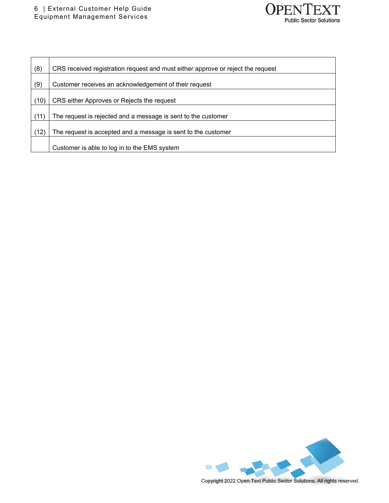

| (8)  | CRS received registration request and must either approve or reject the request |
|------|---------------------------------------------------------------------------------|
| (9)  | Customer receives an acknowledgement of their request                           |
| (10) | CRS either Approves or Rejects the request                                      |
| (11) | The request is rejected and a message is sent to the customer                   |
| (12) | The request is accepted and a message is sent to the customer                   |
|      | Customer is able to log in to the EMS system                                    |

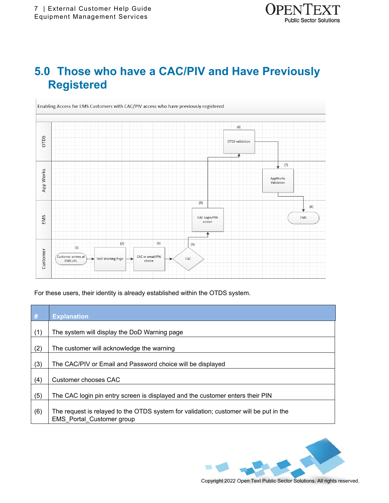## **5.0 Those who have a CAC/PIV and Have Previously Registered**



For these users, their identity is already established within the OTDS system.

| #   | <b>Explanation</b>                                                                                                        |
|-----|---------------------------------------------------------------------------------------------------------------------------|
| (1) | The system will display the DoD Warning page                                                                              |
| (2) | The customer will acknowledge the warning                                                                                 |
| (3) | The CAC/PIV or Email and Password choice will be displayed                                                                |
| (4) | Customer chooses CAC                                                                                                      |
| (5) | The CAC login pin entry screen is displayed and the customer enters their PIN                                             |
| (6) | The request is relayed to the OTDS system for validation; customer will be put in the<br><b>EMS</b> Portal Customer group |

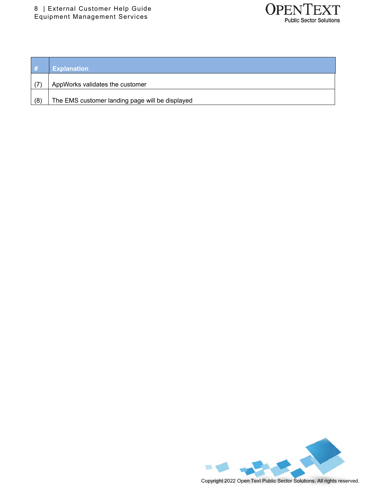

| $\vert$ # | <b>Explanation</b>                              |
|-----------|-------------------------------------------------|
|           | AppWorks validates the customer                 |
| (8)       | The EMS customer landing page will be displayed |

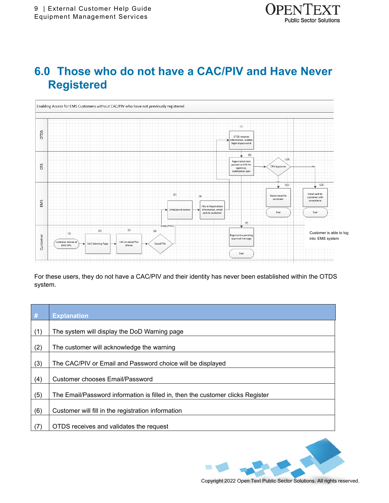

### **6.0 Those who do not have a CAC/PIV and Have Never Registered**



For these users, they do not have a CAC/PIV and their identity has never been established within the OTDS system.

| $\#$ | <b>Explanation</b>                                                             |
|------|--------------------------------------------------------------------------------|
| (1)  | The system will display the DoD Warning page                                   |
| (2)  | The customer will acknowledge the warning                                      |
| (3)  | The CAC/PIV or Email and Password choice will be displayed                     |
| (4)  | <b>Customer chooses Email/Password</b>                                         |
| (5)  | The Email/Password information is filled in, then the customer clicks Register |
| (6)  | Customer will fill in the registration information                             |
| (7)  | OTDS receives and validates the request                                        |

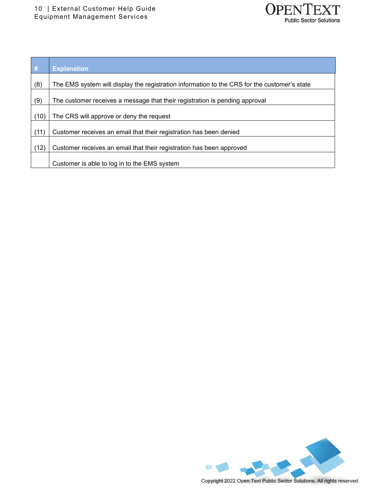

| #    | <b>Explanation</b>                                                                           |
|------|----------------------------------------------------------------------------------------------|
| (8)  | The EMS system will display the registration information to the CRS for the customer's state |
| (9)  | The customer receives a message that their registration is pending approval                  |
| (10) | The CRS will approve or deny the request                                                     |
| (11) | Customer receives an email that their registration has been denied                           |
| (12) | Customer receives an email that their registration has been approved                         |
|      | Customer is able to log in to the EMS system                                                 |

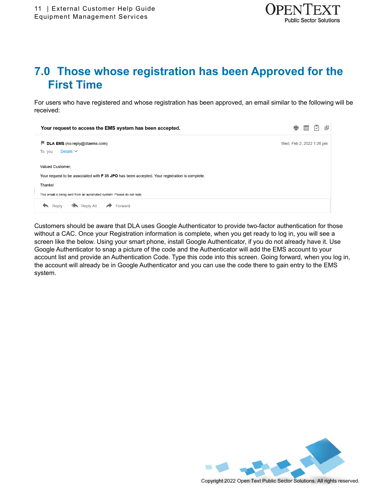

## **7.0 Those whose registration has been Approved for the First Time**

For users who have registered and whose registration has been approved, an email similar to the following will be received:

| Your request to access the EMS system has been accepted.                                             | -                        |  | ⊡ | 囸 |
|------------------------------------------------------------------------------------------------------|--------------------------|--|---|---|
| $\blacksquare$ DLA EMS (no-reply@dlaems.com)                                                         | Wed, Feb 2, 2022 1:26 pm |  |   |   |
| Details $\vee$<br>To: you                                                                            |                          |  |   |   |
| Valued Customer,                                                                                     |                          |  |   |   |
| Your request to be associated with <b>F 35 JPO</b> has been accepted. Your registration is complete. |                          |  |   |   |
| Thanks!                                                                                              |                          |  |   |   |
| This email is being sent from an automated system. Please do not reply.                              |                          |  |   |   |
| Reply All<br>Forward<br>Reply                                                                        |                          |  |   |   |

Customers should be aware that DLA uses Google Authenticator to provide two-factor authentication for those without a CAC. Once your Registration information is complete, when you get ready to log in, you will see a screen like the below. Using your smart phone, install Google Authenticator, if you do not already have it. Use Google Authenticator to snap a picture of the code and the Authenticator will add the EMS account to your account list and provide an Authentication Code. Type this code into this screen. Going forward, when you log in, the account will already be in Google Authenticator and you can use the code there to gain entry to the EMS system.

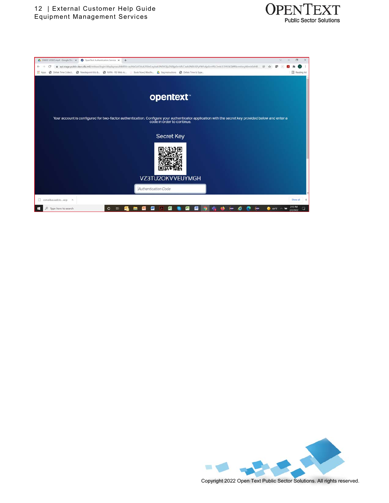



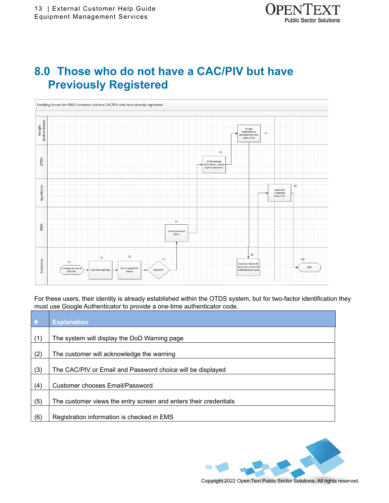

### **8.0 Those who do not have a CAC/PIV but have Previously Registered**



For these users, their identity is already established within the OTDS system, but for two-factor identification they must use Google Authenticator to provide a one-time authenticator code.

| #   | <b>Explanation</b>                                               |
|-----|------------------------------------------------------------------|
| (1) | The system will display the DoD Warning page                     |
| (2) | The customer will acknowledge the warning                        |
| (3) | The CAC/PIV or Email and Password choice will be displayed       |
| (4) | Customer chooses Email/Password                                  |
| (5) | The customer views the entry screen and enters their credentials |
| (6) | Registration information is checked in EMS                       |